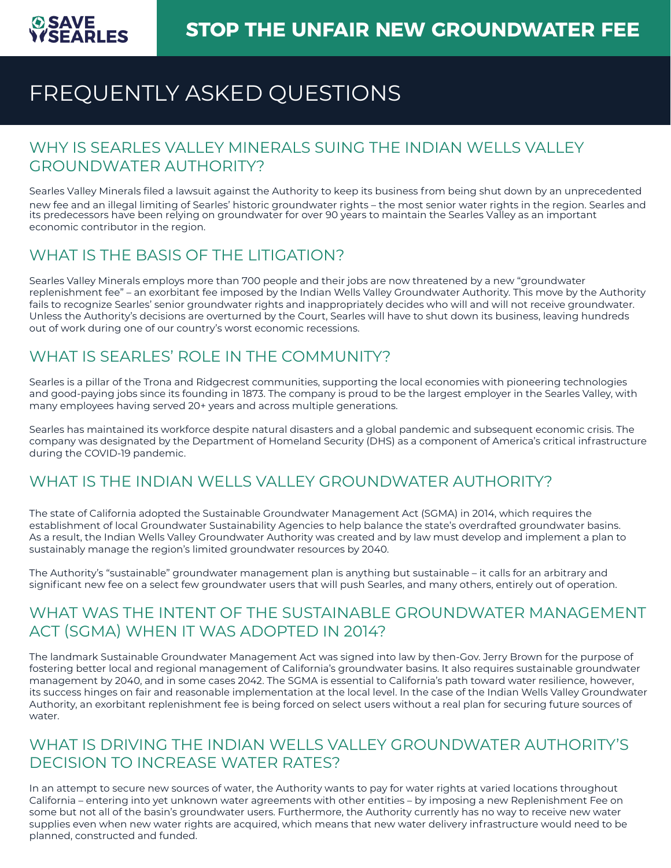# FREQUENTLY ASKED QUESTIONS

#### WHY IS SEARLES VALLEY MINERALS SUING THE INDIAN WELLS VALLEY GROUNDWATER AUTHORITY?

Searles Valley Minerals filed a lawsuit against the Authority to keep its business from being shut down by an unprecedented new fee and an illegal limiting of Searles' historic groundwater rights – the most senior water rights in the region. Searles and its predecessors have been relying on groundwater for over 90 years to maintain the Searles Valley as an important economic contributor in the region.

### WHAT IS THE BASIS OF THE LITIGATION?

Searles Valley Minerals employs more than 700 people and their jobs are now threatened by a new "groundwater replenishment fee" – an exorbitant fee imposed by the Indian Wells Valley Groundwater Authority. This move by the Authority fails to recognize Searles' senior groundwater rights and inappropriately decides who will and will not receive groundwater. Unless the Authority's decisions are overturned by the Court, Searles will have to shut down its business, leaving hundreds out of work during one of our country's worst economic recessions.

## WHAT IS SEARLES' ROLE IN THE COMMUNITY?

Searles is a pillar of the Trona and Ridgecrest communities, supporting the local economies with pioneering technologies and good-paying jobs since its founding in 1873. The company is proud to be the largest employer in the Searles Valley, with many employees having served 20+ years and across multiple generations.

Searles has maintained its workforce despite natural disasters and a global pandemic and subsequent economic crisis. The company was designated by the Department of Homeland Security (DHS) as a component of America's critical infrastructure during the COVID-19 pandemic.

#### WHAT IS THE INDIAN WELLS VALLEY GROUNDWATER AUTHORITY?

The state of California adopted the Sustainable Groundwater Management Act (SGMA) in 2014, which requires the establishment of local Groundwater Sustainability Agencies to help balance the state's overdrafted groundwater basins. As a result, the Indian Wells Valley Groundwater Authority was created and by law must develop and implement a plan to sustainably manage the region's limited groundwater resources by 2040.

The Authority's "sustainable" groundwater management plan is anything but sustainable – it calls for an arbitrary and significant new fee on a select few groundwater users that will push Searles, and many others, entirely out of operation.

#### WHAT WAS THE INTENT OF THE SUSTAINABLE GROUNDWATER MANAGEMENT ACT (SGMA) WHEN IT WAS ADOPTED IN 2014?

The landmark Sustainable Groundwater Management Act was signed into law by then-Gov. Jerry Brown for the purpose of fostering better local and regional management of California's groundwater basins. It also requires sustainable groundwater management by 2040, and in some cases 2042. The SGMA is essential to California's path toward water resilience, however, its success hinges on fair and reasonable implementation at the local level. In the case of the Indian Wells Valley Groundwater Authority, an exorbitant replenishment fee is being forced on select users without a real plan for securing future sources of water.

#### WHAT IS DRIVING THE INDIAN WELLS VALLEY GROUNDWATER AUTHORITY'S DECISION TO INCREASE WATER RATES?

In an attempt to secure new sources of water, the Authority wants to pay for water rights at varied locations throughout California – entering into yet unknown water agreements with other entities – by imposing a new Replenishment Fee on some but not all of the basin's groundwater users. Furthermore, the Authority currently has no way to receive new water supplies even when new water rights are acquired, which means that new water delivery infrastructure would need to be planned, constructed and funded.